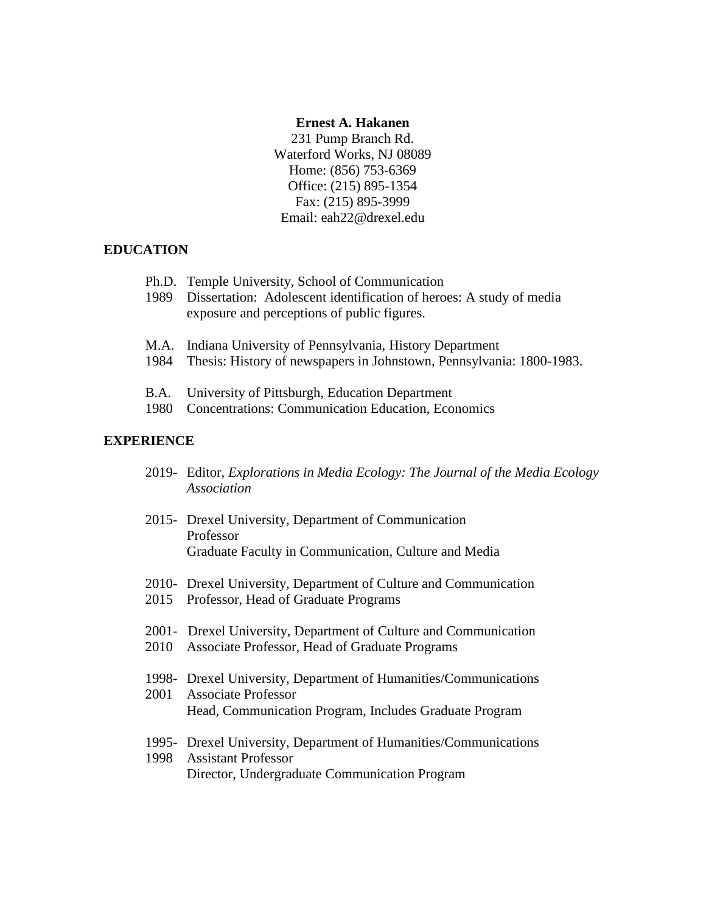#### **Ernest A. Hakanen**

231 Pump Branch Rd. Waterford Works, NJ 08089 Home: (856) 753-6369 Office: (215) 895-1354 Fax: (215) 895-3999 Email: eah22@drexel.edu

# **EDUCATION**

| Ph.D. Temple University, School of Communication<br>1989 Dissertation: Adolescent identification of heroes: A study of media<br>exposure and perceptions of public figures. |
|-----------------------------------------------------------------------------------------------------------------------------------------------------------------------------|
| M.A. Indiana University of Pennsylvania, History Department<br>$\lambda$ $\cap$ $\cap$ $\lambda$ $\cap$                                                                     |

- 1984 Thesis: History of newspapers in Johnstown, Pennsylvania: 1800-1983.
- B.A. University of Pittsburgh, Education Department
- 1980 Concentrations: Communication Education, Economics

# **EXPERIENCE**

- 2019- Editor, *Explorations in Media Ecology: The Journal of the Media Ecology Association*
- 2015- Drexel University, Department of Communication Professor Graduate Faculty in Communication, Culture and Media
- 2010- Drexel University, Department of Culture and Communication
- 2015 Professor, Head of Graduate Programs
- 2001- Drexel University, Department of Culture and Communication
- 2010 Associate Professor, Head of Graduate Programs
- 1998- Drexel University, Department of Humanities/Communications
- 2001 Associate Professor Head, Communication Program, Includes Graduate Program
- 1995- Drexel University, Department of Humanities/Communications 1998 Assistant Professor

Director, Undergraduate Communication Program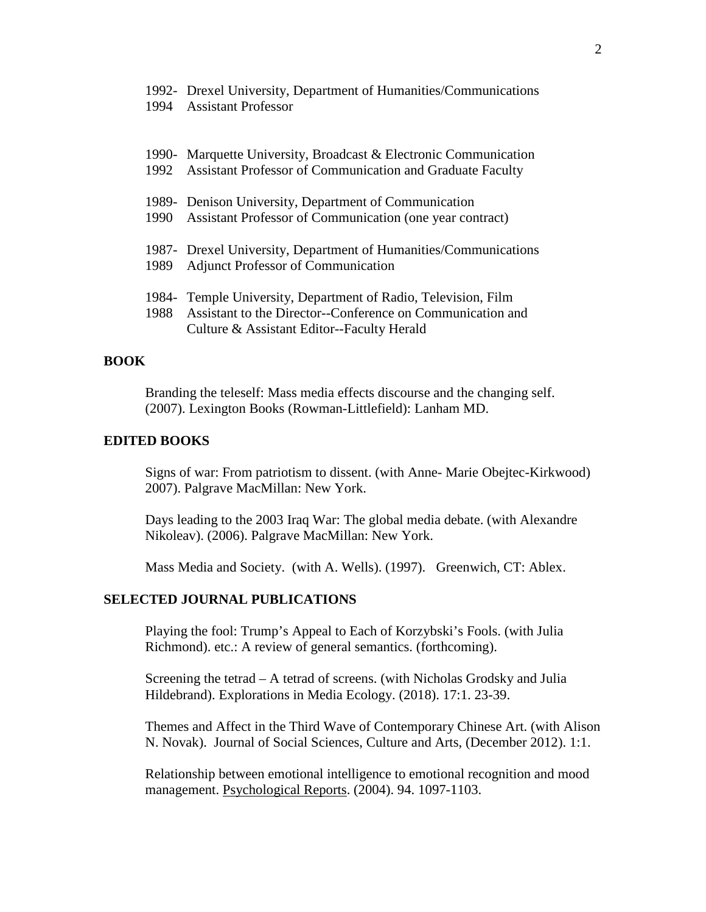|  |  |  |  |  |  | 1992- Drexel University, Department of Humanities/Communications |
|--|--|--|--|--|--|------------------------------------------------------------------|
|--|--|--|--|--|--|------------------------------------------------------------------|

1994 Assistant Professor

|      | 1990- Marquette University, Broadcast & Electronic Communication |
|------|------------------------------------------------------------------|
|      | 1992 Assistant Professor of Communication and Graduate Faculty   |
|      |                                                                  |
|      | 1989- Denison University, Department of Communication            |
| 1990 | Assistant Professor of Communication (one year contract)         |
|      |                                                                  |
|      | 1987- Drexel University, Department of Humanities/Communications |
| 1989 | <b>Adjunct Professor of Communication</b>                        |
|      |                                                                  |
|      | 1984 Temple University, Department of Radio, Television, Film    |
| 1988 | Assistant to the Director--Conference on Communication and       |
|      | Culture & Assistant Editor--Faculty Herald                       |

# **BOOK**

Branding the teleself: Mass media effects discourse and the changing self. (2007). Lexington Books (Rowman-Littlefield): Lanham MD.

### **EDITED BOOKS**

Signs of war: From patriotism to dissent. (with Anne- Marie Obejtec-Kirkwood) 2007). Palgrave MacMillan: New York.

Days leading to the 2003 Iraq War: The global media debate. (with Alexandre Nikoleav). (2006). Palgrave MacMillan: New York.

Mass Media and Society. (with A. Wells). (1997). Greenwich, CT: Ablex.

## **SELECTED JOURNAL PUBLICATIONS**

Playing the fool: Trump's Appeal to Each of Korzybski's Fools. (with Julia Richmond). etc.: A review of general semantics. (forthcoming).

Screening the tetrad – A tetrad of screens. (with Nicholas Grodsky and Julia Hildebrand). Explorations in Media Ecology. (2018). 17:1. 23-39.

Themes and Affect in the Third Wave of Contemporary Chinese Art. (with Alison N. Novak). [Journal of Social Sciences, Culture and Arts,](http://www.journal.casca.org.rs/2012/12/24/themes-and-affect-in-the-third-wave-of-contemporary-chinese-art/) (December 2012). 1:1.

Relationship between emotional intelligence to emotional recognition and mood management. Psychological Reports. (2004). 94. 1097-1103.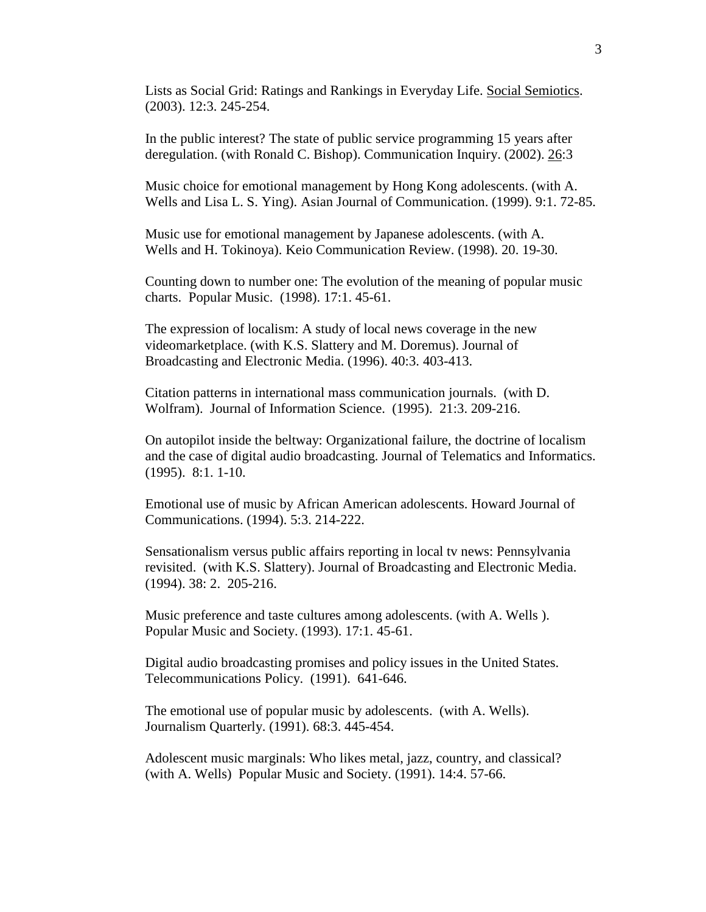Lists as Social Grid: Ratings and Rankings in Everyday Life. Social Semiotics. (2003). 12:3. 245-254.

In the public interest? The state of public service programming 15 years after deregulation. (with Ronald C. Bishop). Communication Inquiry. (2002). 26:3

Music choice for emotional management by Hong Kong adolescents. (with A. Wells and Lisa L. S. Ying). Asian Journal of Communication. (1999). 9:1. 72-85.

Music use for emotional management by Japanese adolescents. (with A. Wells and H. Tokinoya). Keio Communication Review. (1998). 20. 19-30.

Counting down to number one: The evolution of the meaning of popular music charts. Popular Music. (1998). 17:1. 45-61.

The expression of localism: A study of local news coverage in the new videomarketplace. (with K.S. Slattery and M. Doremus). Journal of Broadcasting and Electronic Media. (1996). 40:3. 403-413.

Citation patterns in international mass communication journals. (with D. Wolfram). Journal of Information Science. (1995). 21:3. 209-216.

On autopilot inside the beltway: Organizational failure, the doctrine of localism and the case of digital audio broadcasting. Journal of Telematics and Informatics. (1995). 8:1. 1-10.

Emotional use of music by African American adolescents. Howard Journal of Communications. (1994). 5:3. 214-222.

Sensationalism versus public affairs reporting in local tv news: Pennsylvania revisited. (with K.S. Slattery). Journal of Broadcasting and Electronic Media. (1994). 38: 2. 205-216.

Music preference and taste cultures among adolescents. (with A. Wells ). Popular Music and Society. (1993). 17:1. 45-61.

Digital audio broadcasting promises and policy issues in the United States. Telecommunications Policy. (1991). 641-646.

The emotional use of popular music by adolescents. (with A. Wells). Journalism Quarterly. (1991). 68:3. 445-454.

Adolescent music marginals: Who likes metal, jazz, country, and classical? (with A. Wells) Popular Music and Society. (1991). 14:4. 57-66.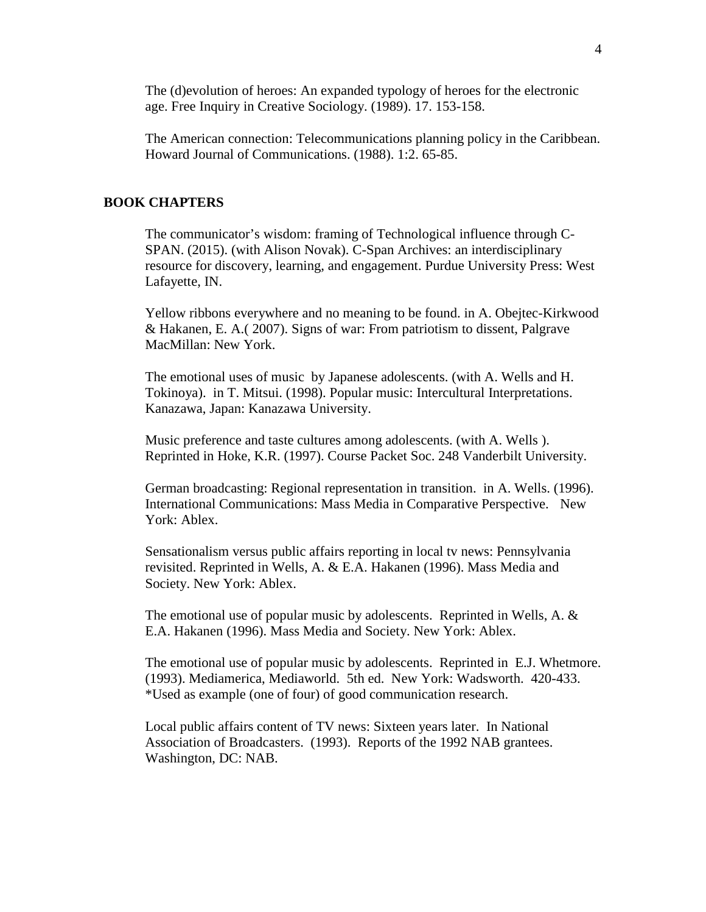The (d)evolution of heroes: An expanded typology of heroes for the electronic age. Free Inquiry in Creative Sociology. (1989). 17. 153-158.

The American connection: Telecommunications planning policy in the Caribbean. Howard Journal of Communications. (1988). 1:2. 65-85.

# **BOOK CHAPTERS**

The communicator's wisdom: framing of Technological influence through C-SPAN. (2015). (with Alison Novak). C-Span Archives: an interdisciplinary resource for discovery, learning, and engagement. Purdue University Press: West Lafayette, IN.

Yellow ribbons everywhere and no meaning to be found. in A. Obejtec-Kirkwood & Hakanen, E. A.( 2007). Signs of war: From patriotism to dissent, Palgrave MacMillan: New York.

The emotional uses of music by Japanese adolescents. (with A. Wells and H. Tokinoya). in T. Mitsui. (1998). Popular music: Intercultural Interpretations. Kanazawa, Japan: Kanazawa University.

Music preference and taste cultures among adolescents. (with A. Wells ). Reprinted in Hoke, K.R. (1997). Course Packet Soc. 248 Vanderbilt University.

German broadcasting: Regional representation in transition. in A. Wells. (1996). International Communications: Mass Media in Comparative Perspective. New York: Ablex.

Sensationalism versus public affairs reporting in local tv news: Pennsylvania revisited. Reprinted in Wells, A. & E.A. Hakanen (1996). Mass Media and Society. New York: Ablex.

The emotional use of popular music by adolescents. Reprinted in Wells, A.  $\&$ E.A. Hakanen (1996). Mass Media and Society. New York: Ablex.

The emotional use of popular music by adolescents. Reprinted in E.J. Whetmore. (1993). Mediamerica, Mediaworld. 5th ed. New York: Wadsworth. 420-433. \*Used as example (one of four) of good communication research.

Local public affairs content of TV news: Sixteen years later. In National Association of Broadcasters. (1993). Reports of the 1992 NAB grantees. Washington, DC: NAB.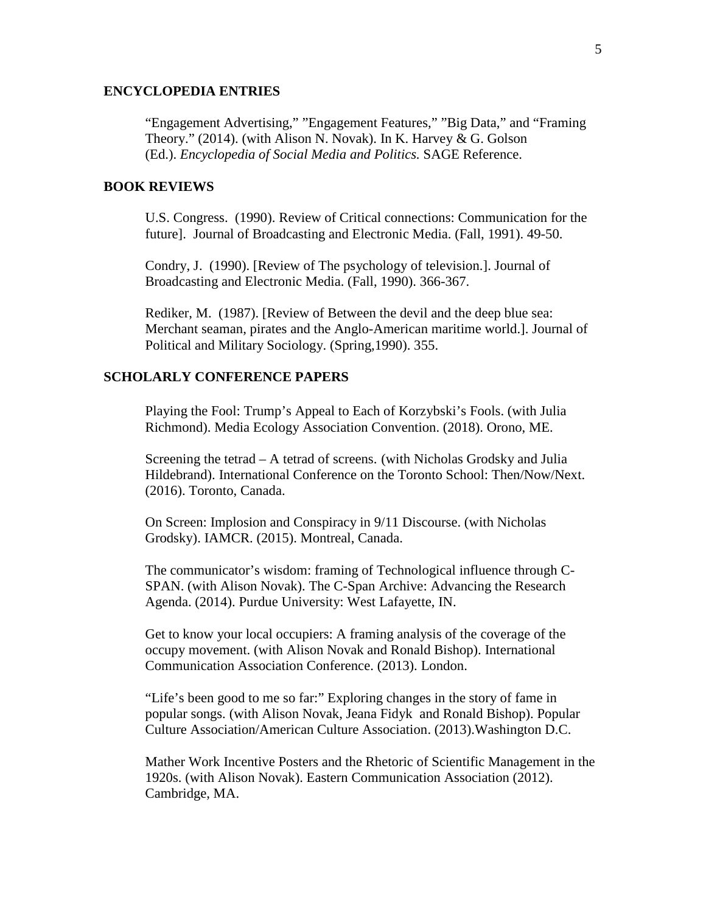### **ENCYCLOPEDIA ENTRIES**

"Engagement Advertising," "Engagement Features," "Big Data," and "Framing Theory." (2014). (with Alison N. Novak). In K. Harvey & G. Golson (Ed.). *Encyclopedia of Social Media and Politics.* SAGE Reference.

### **BOOK REVIEWS**

U.S. Congress. (1990). Review of Critical connections: Communication for the future]. Journal of Broadcasting and Electronic Media. (Fall, 1991). 49-50.

Condry, J. (1990). [Review of The psychology of television.]. Journal of Broadcasting and Electronic Media. (Fall, 1990). 366-367.

Rediker, M. (1987). [Review of Between the devil and the deep blue sea: Merchant seaman, pirates and the Anglo-American maritime world.]. Journal of Political and Military Sociology. (Spring,1990). 355.

### **SCHOLARLY CONFERENCE PAPERS**

Playing the Fool: Trump's Appeal to Each of Korzybski's Fools. (with Julia Richmond). Media Ecology Association Convention. (2018). Orono, ME.

Screening the tetrad – A tetrad of screens. (with Nicholas Grodsky and Julia Hildebrand). International Conference on the Toronto School: Then/Now/Next. (2016). Toronto, Canada.

On Screen: Implosion and Conspiracy in 9/11 Discourse. (with Nicholas Grodsky). IAMCR. (2015). Montreal, Canada.

The communicator's wisdom: framing of Technological influence through C-SPAN. (with Alison Novak). The C-Span Archive: Advancing the Research Agenda. (2014). Purdue University: West Lafayette, IN.

Get to know your local occupiers: A framing analysis of the coverage of the occupy movement. (with Alison Novak and Ronald Bishop). International Communication Association Conference. (2013). London.

"Life's been good to me so far:" Exploring changes in the story of fame in popular songs. (with Alison Novak, Jeana Fidyk and Ronald Bishop). Popular Culture Association/American Culture Association. (2013).Washington D.C.

Mather Work Incentive Posters and the Rhetoric of Scientific Management in the 1920s. (with Alison Novak). Eastern Communication Association (2012). Cambridge, MA.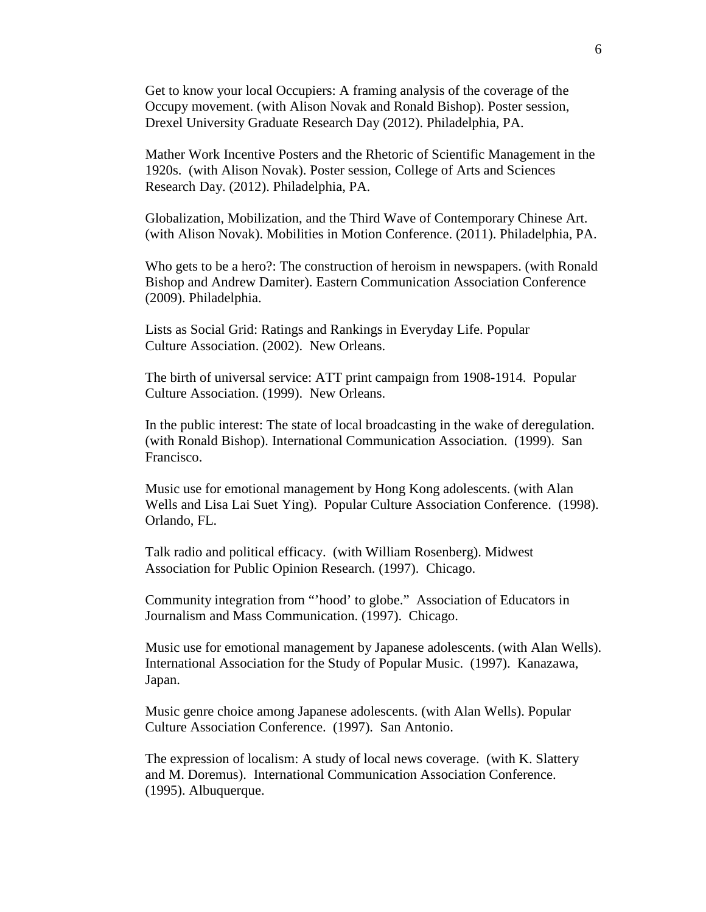Get to know your local Occupiers: A framing analysis of the coverage of the Occupy movement. (with Alison Novak and Ronald Bishop). Poster session, Drexel University Graduate Research Day (2012). Philadelphia, PA.

Mather Work Incentive Posters and the Rhetoric of Scientific Management in the 1920s. (with Alison Novak). Poster session, College of Arts and Sciences Research Day. (2012). Philadelphia, PA.

Globalization, Mobilization, and the Third Wave of Contemporary Chinese Art. (with Alison Novak). Mobilities in Motion Conference. (2011). Philadelphia, PA.

Who gets to be a hero?: The construction of heroism in newspapers. (with Ronald Bishop and Andrew Damiter). Eastern Communication Association Conference (2009). Philadelphia.

Lists as Social Grid: Ratings and Rankings in Everyday Life. Popular Culture Association. (2002). New Orleans.

The birth of universal service: ATT print campaign from 1908-1914. Popular Culture Association. (1999). New Orleans.

In the public interest: The state of local broadcasting in the wake of deregulation. (with Ronald Bishop). International Communication Association. (1999). San Francisco.

Music use for emotional management by Hong Kong adolescents. (with Alan Wells and Lisa Lai Suet Ying). Popular Culture Association Conference. (1998). Orlando, FL.

Talk radio and political efficacy. (with William Rosenberg). Midwest Association for Public Opinion Research. (1997). Chicago.

Community integration from "'hood' to globe." Association of Educators in Journalism and Mass Communication. (1997). Chicago.

Music use for emotional management by Japanese adolescents. (with Alan Wells). International Association for the Study of Popular Music. (1997). Kanazawa, Japan.

Music genre choice among Japanese adolescents. (with Alan Wells). Popular Culture Association Conference. (1997). San Antonio.

The expression of localism: A study of local news coverage. (with K. Slattery and M. Doremus). International Communication Association Conference. (1995). Albuquerque.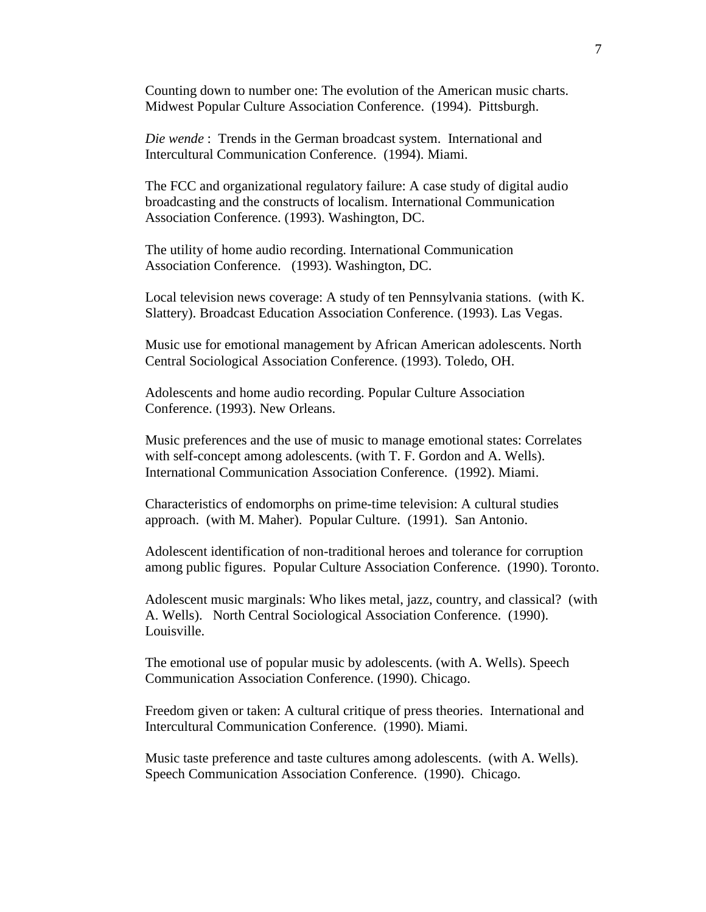Counting down to number one: The evolution of the American music charts. Midwest Popular Culture Association Conference. (1994). Pittsburgh.

*Die wende* : Trends in the German broadcast system. International and Intercultural Communication Conference. (1994). Miami.

The FCC and organizational regulatory failure: A case study of digital audio broadcasting and the constructs of localism. International Communication Association Conference. (1993). Washington, DC.

The utility of home audio recording. International Communication Association Conference. (1993). Washington, DC.

Local television news coverage: A study of ten Pennsylvania stations. (with K. Slattery). Broadcast Education Association Conference. (1993). Las Vegas.

Music use for emotional management by African American adolescents. North Central Sociological Association Conference. (1993). Toledo, OH.

Adolescents and home audio recording. Popular Culture Association Conference. (1993). New Orleans.

Music preferences and the use of music to manage emotional states: Correlates with self-concept among adolescents. (with T. F. Gordon and A. Wells). International Communication Association Conference. (1992). Miami.

Characteristics of endomorphs on prime-time television: A cultural studies approach. (with M. Maher). Popular Culture. (1991). San Antonio.

Adolescent identification of non-traditional heroes and tolerance for corruption among public figures. Popular Culture Association Conference. (1990). Toronto.

Adolescent music marginals: Who likes metal, jazz, country, and classical? (with A. Wells). North Central Sociological Association Conference. (1990). Louisville.

The emotional use of popular music by adolescents. (with A. Wells). Speech Communication Association Conference. (1990). Chicago.

Freedom given or taken: A cultural critique of press theories. International and Intercultural Communication Conference. (1990). Miami.

Music taste preference and taste cultures among adolescents. (with A. Wells). Speech Communication Association Conference. (1990). Chicago.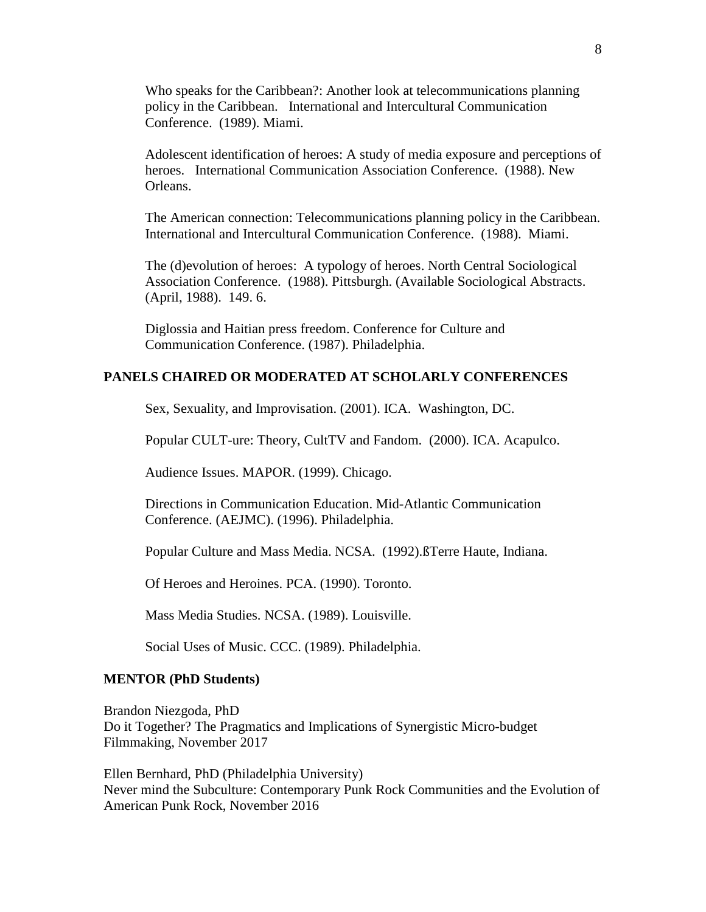Who speaks for the Caribbean?: Another look at telecommunications planning policy in the Caribbean. International and Intercultural Communication Conference. (1989). Miami.

Adolescent identification of heroes: A study of media exposure and perceptions of heroes. International Communication Association Conference. (1988). New Orleans.

The American connection: Telecommunications planning policy in the Caribbean. International and Intercultural Communication Conference. (1988). Miami.

The (d)evolution of heroes: A typology of heroes. North Central Sociological Association Conference. (1988). Pittsburgh. (Available Sociological Abstracts. (April, 1988). 149. 6.

Diglossia and Haitian press freedom. Conference for Culture and Communication Conference. (1987). Philadelphia.

# **PANELS CHAIRED OR MODERATED AT SCHOLARLY CONFERENCES**

Sex, Sexuality, and Improvisation. (2001). ICA. Washington, DC.

Popular CULT-ure: Theory, CultTV and Fandom. (2000). ICA. Acapulco.

Audience Issues. MAPOR. (1999). Chicago.

Directions in Communication Education. Mid-Atlantic Communication Conference. (AEJMC). (1996). Philadelphia.

Popular Culture and Mass Media. NCSA. (1992).ßTerre Haute, Indiana.

Of Heroes and Heroines. PCA. (1990). Toronto.

Mass Media Studies. NCSA. (1989). Louisville.

Social Uses of Music. CCC. (1989). Philadelphia.

#### **MENTOR (PhD Students)**

Brandon Niezgoda, PhD Do it Together? The Pragmatics and Implications of Synergistic Micro-budget Filmmaking, November 2017

Ellen Bernhard, PhD (Philadelphia University) Never mind the Subculture: Contemporary Punk Rock Communities and the Evolution of American Punk Rock, November 2016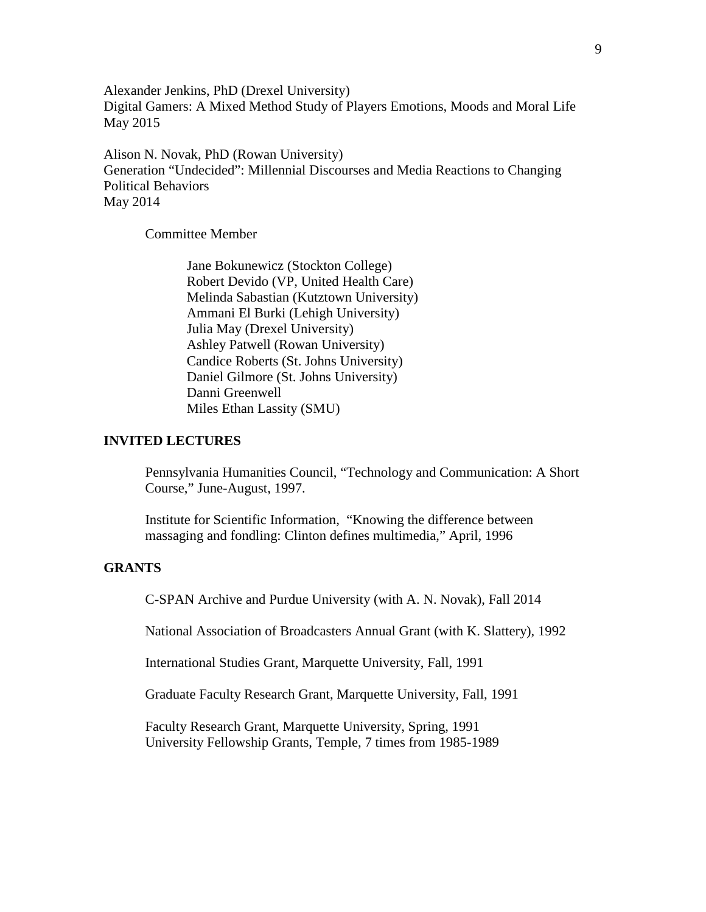Alexander Jenkins, PhD (Drexel University) Digital Gamers: A Mixed Method Study of Players Emotions, Moods and Moral Life May 2015

Alison N. Novak, PhD (Rowan University) Generation "Undecided": Millennial Discourses and Media Reactions to Changing Political Behaviors May 2014

Committee Member

Jane Bokunewicz (Stockton College) Robert Devido (VP, United Health Care) Melinda Sabastian (Kutztown University) Ammani El Burki (Lehigh University) Julia May (Drexel University) Ashley Patwell (Rowan University) Candice Roberts (St. Johns University) Daniel Gilmore (St. Johns University) Danni Greenwell Miles Ethan Lassity (SMU)

#### **INVITED LECTURES**

Pennsylvania Humanities Council, "Technology and Communication: A Short Course," June-August, 1997.

Institute for Scientific Information, "Knowing the difference between massaging and fondling: Clinton defines multimedia," April, 1996

#### **GRANTS**

C-SPAN Archive and Purdue University (with A. N. Novak), Fall 2014

National Association of Broadcasters Annual Grant (with K. Slattery), 1992

International Studies Grant, Marquette University, Fall, 1991

Graduate Faculty Research Grant, Marquette University, Fall, 1991

Faculty Research Grant, Marquette University, Spring, 1991 University Fellowship Grants, Temple, 7 times from 1985-1989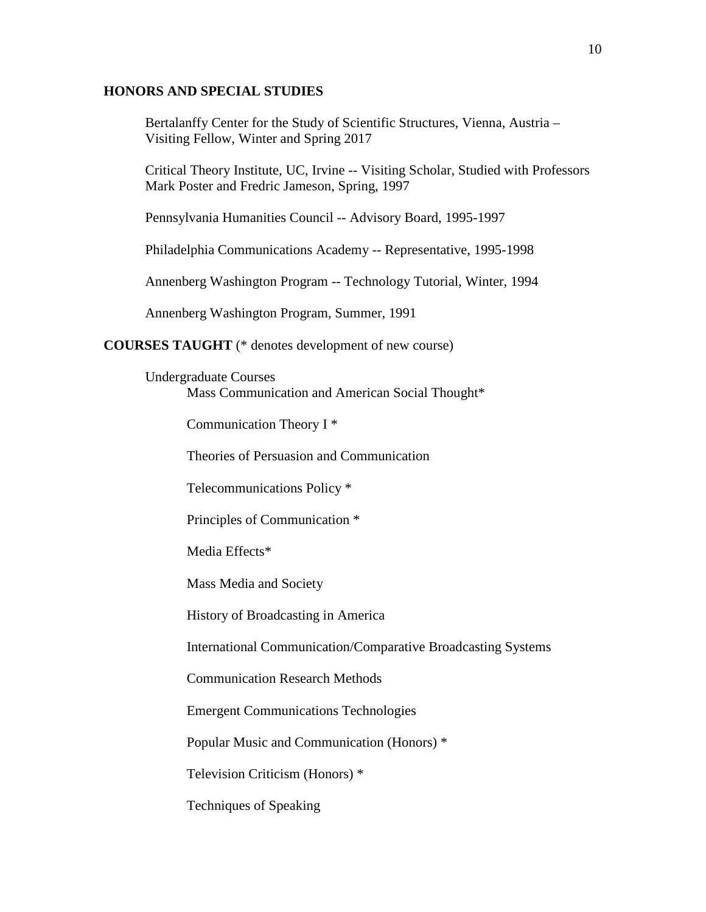## **HONORS AND SPECIAL STUDIES**

Bertalanffy Center for the Study of Scientific Structures, Vienna, Austria – Visiting Fellow, Winter and Spring 2017

Critical Theory Institute, UC, Irvine -- Visiting Scholar, Studied with Professors Mark Poster and Fredric Jameson, Spring, 1997

Pennsylvania Humanities Council -- Advisory Board, 1995-1997

Philadelphia Communications Academy -- Representative, 1995-1998

Annenberg Washington Program -- Technology Tutorial, Winter, 1994

Annenberg Washington Program, Summer, 1991

**COURSES TAUGHT** (\* denotes development of new course)

Undergraduate Courses

Mass Communication and American Social Thought\*

Communication Theory I \*

Theories of Persuasion and Communication

Telecommunications Policy \*

Principles of Communication \*

Media Effects\*

Mass Media and Society

History of Broadcasting in America

International Communication/Comparative Broadcasting Systems

Communication Research Methods

Emergent Communications Technologies

Popular Music and Communication (Honors) \*

Television Criticism (Honors) \*

Techniques of Speaking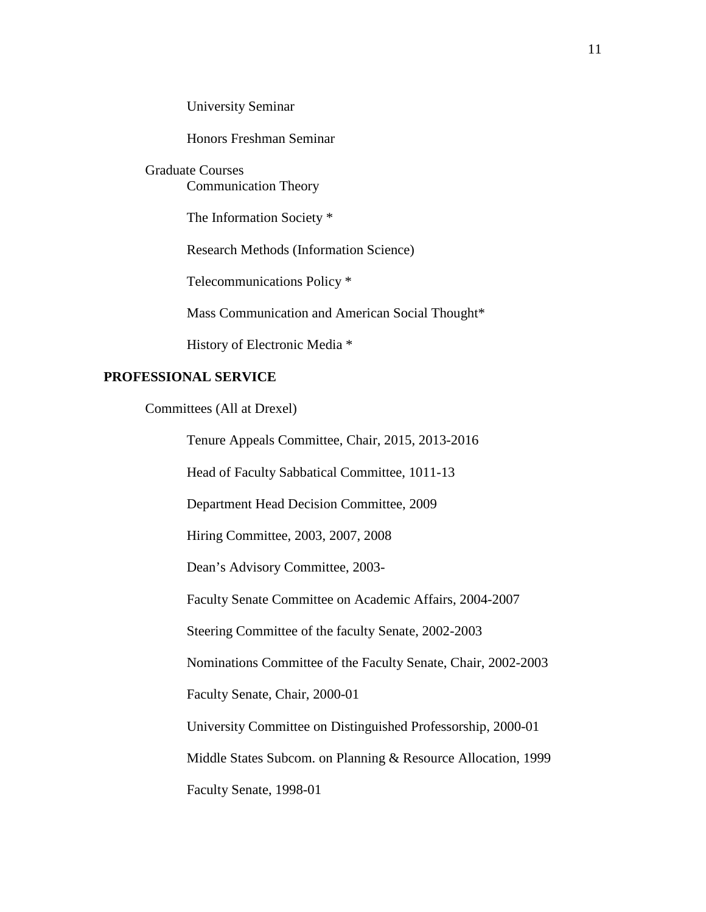University Seminar

Honors Freshman Seminar

Graduate Courses Communication Theory

The Information Society \*

Research Methods (Information Science)

Telecommunications Policy \*

Mass Communication and American Social Thought\*

History of Electronic Media \*

# **PROFESSIONAL SERVICE**

Committees (All at Drexel)

Tenure Appeals Committee, Chair, 2015, 2013-2016

Head of Faculty Sabbatical Committee, 1011-13

Department Head Decision Committee, 2009

Hiring Committee, 2003, 2007, 2008

Dean's Advisory Committee, 2003-

Faculty Senate Committee on Academic Affairs, 2004-2007

Steering Committee of the faculty Senate, 2002-2003

Nominations Committee of the Faculty Senate, Chair, 2002-2003

Faculty Senate, Chair, 2000-01

University Committee on Distinguished Professorship, 2000-01

Middle States Subcom. on Planning & Resource Allocation, 1999

Faculty Senate, 1998-01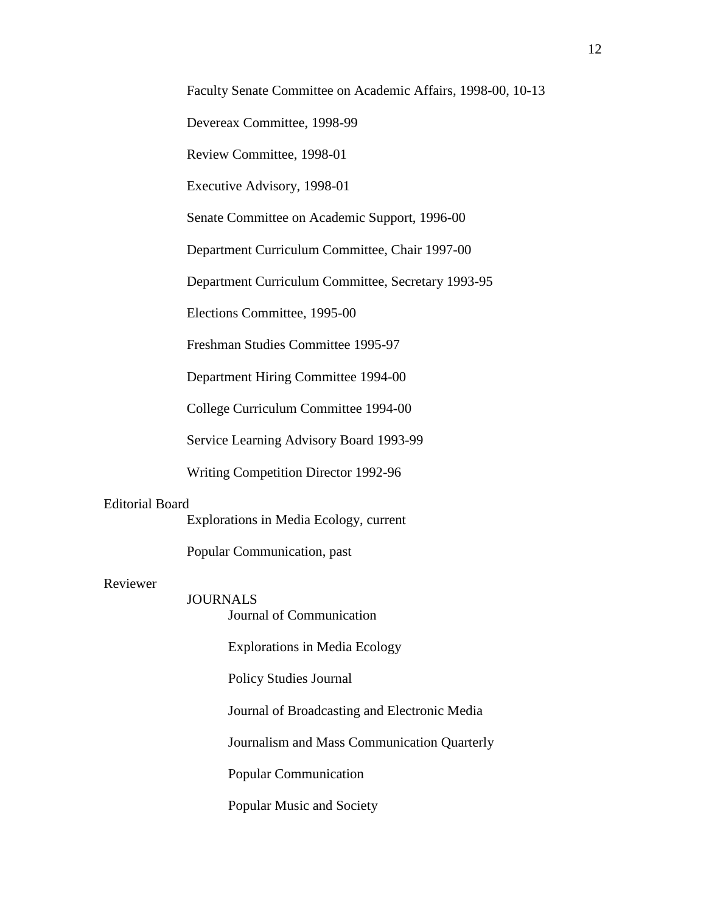Devereax Committee, 1998-99

Review Committee, 1998-01

Executive Advisory, 1998-01

Senate Committee on Academic Support, 1996-00

Department Curriculum Committee, Chair 1997-00

Department Curriculum Committee, Secretary 1993-95

Elections Committee, 1995-00

Freshman Studies Committee 1995-97

Department Hiring Committee 1994-00

College Curriculum Committee 1994-00

Service Learning Advisory Board 1993-99

Writing Competition Director 1992-96

#### Editorial Board

Explorations in Media Ecology, current

Popular Communication, past

# Reviewer

JOURNALS

Journal of Communication

Explorations in Media Ecology

Policy Studies Journal

Journal of Broadcasting and Electronic Media

Journalism and Mass Communication Quarterly

Popular Communication

Popular Music and Society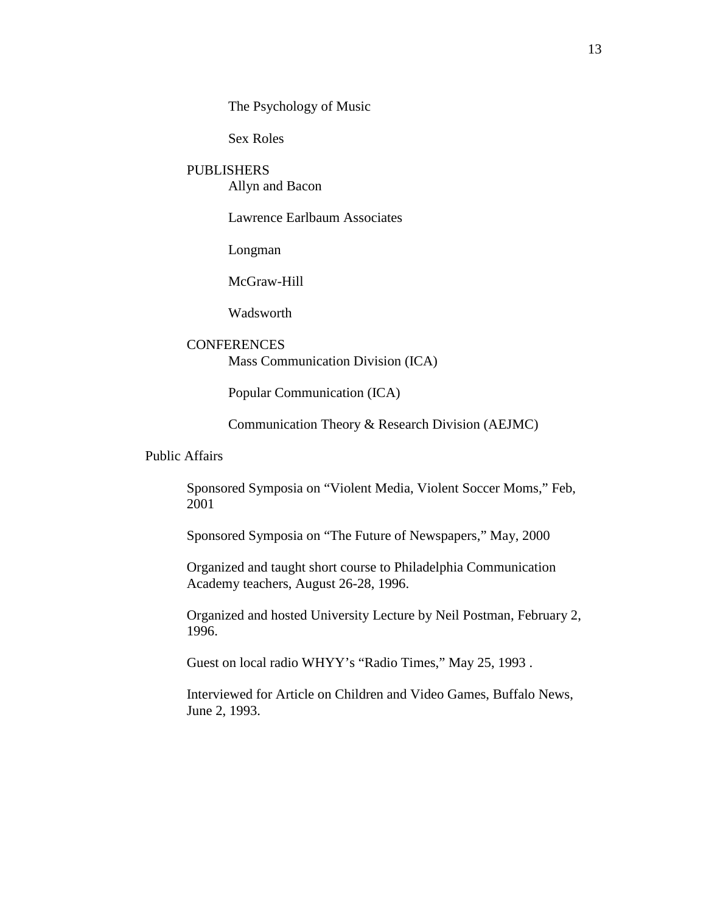The Psychology of Music

Sex Roles

### PUBLISHERS

Allyn and Bacon

Lawrence Earlbaum Associates

Longman

McGraw-Hill

**Wadsworth** 

# **CONFERENCES**

Mass Communication Division (ICA)

Popular Communication (ICA)

Communication Theory & Research Division (AEJMC)

Public Affairs

Sponsored Symposia on "Violent Media, Violent Soccer Moms," Feb, 2001

Sponsored Symposia on "The Future of Newspapers," May, 2000

Organized and taught short course to Philadelphia Communication Academy teachers, August 26-28, 1996.

Organized and hosted University Lecture by Neil Postman, February 2, 1996.

Guest on local radio WHYY's "Radio Times," May 25, 1993 .

Interviewed for Article on Children and Video Games, Buffalo News, June 2, 1993.